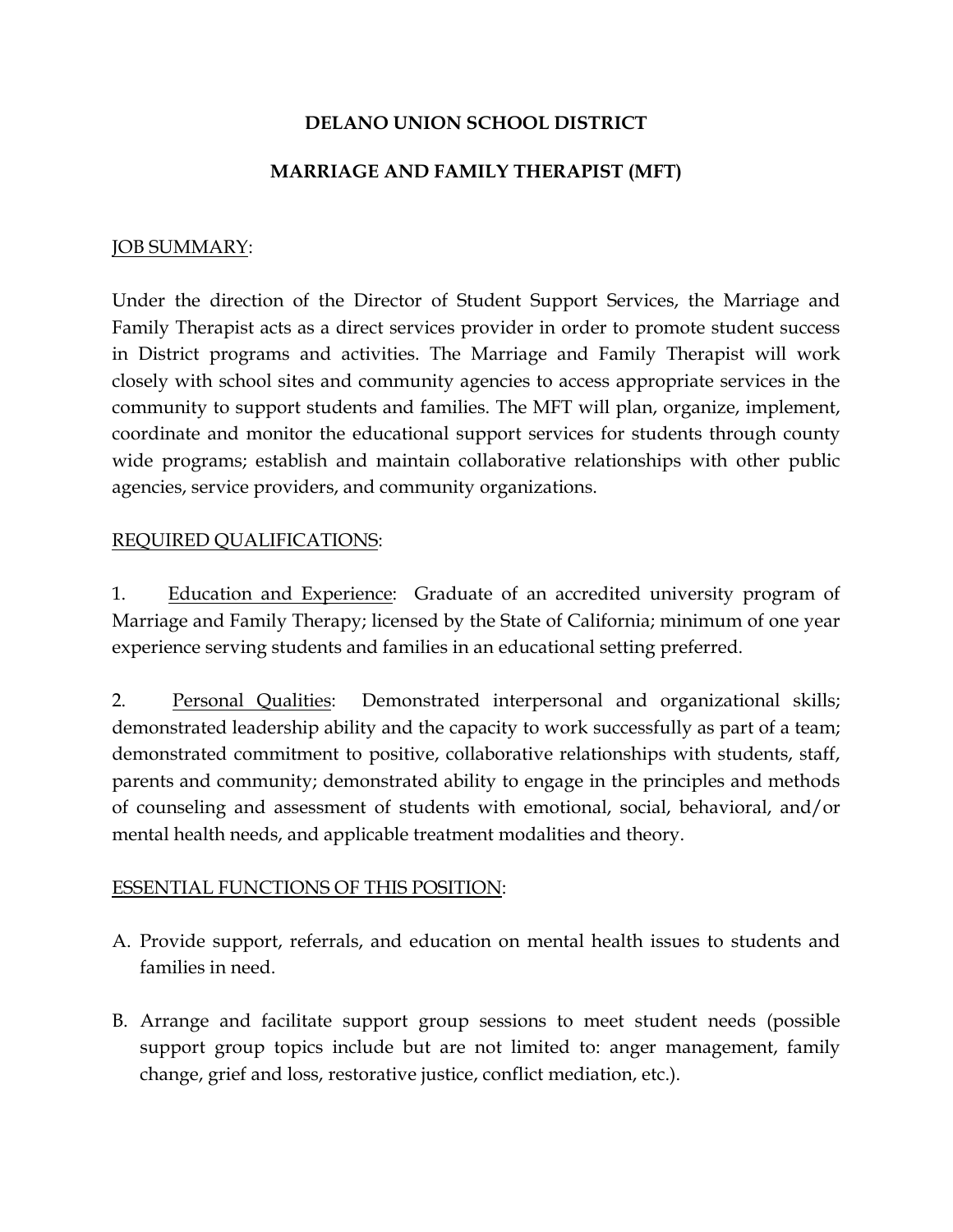# DELANO UNION SCHOOL DISTRICT

## MARRIAGE AND FAMILY THERAPIST (MFT)

#### JOB SUMMARY:

Under the direction of the Director of Student Support Services, the Marriage and Family Therapist acts as a direct services provider in order to promote student success in District programs and activities. The Marriage and Family Therapist will work closely with school sites and community agencies to access appropriate services in the community to support students and families. The MFT will plan, organize, implement, coordinate and monitor the educational support services for students through county wide programs; establish and maintain collaborative relationships with other public agencies, service providers, and community organizations.

### REQUIRED QUALIFICATIONS:

1. Education and Experience: Graduate of an accredited university program of Marriage and Family Therapy; licensed by the State of California; minimum of one year experience serving students and families in an educational setting preferred.

2. Personal Qualities: Demonstrated interpersonal and organizational skills; demonstrated leadership ability and the capacity to work successfully as part of a team; demonstrated commitment to positive, collaborative relationships with students, staff, parents and community; demonstrated ability to engage in the principles and methods of counseling and assessment of students with emotional, social, behavioral, and/or mental health needs, and applicable treatment modalities and theory.

### ESSENTIAL FUNCTIONS OF THIS POSITION:

- A. Provide support, referrals, and education on mental health issues to students and families in need.
- B. Arrange and facilitate support group sessions to meet student needs (possible support group topics include but are not limited to: anger management, family change, grief and loss, restorative justice, conflict mediation, etc.).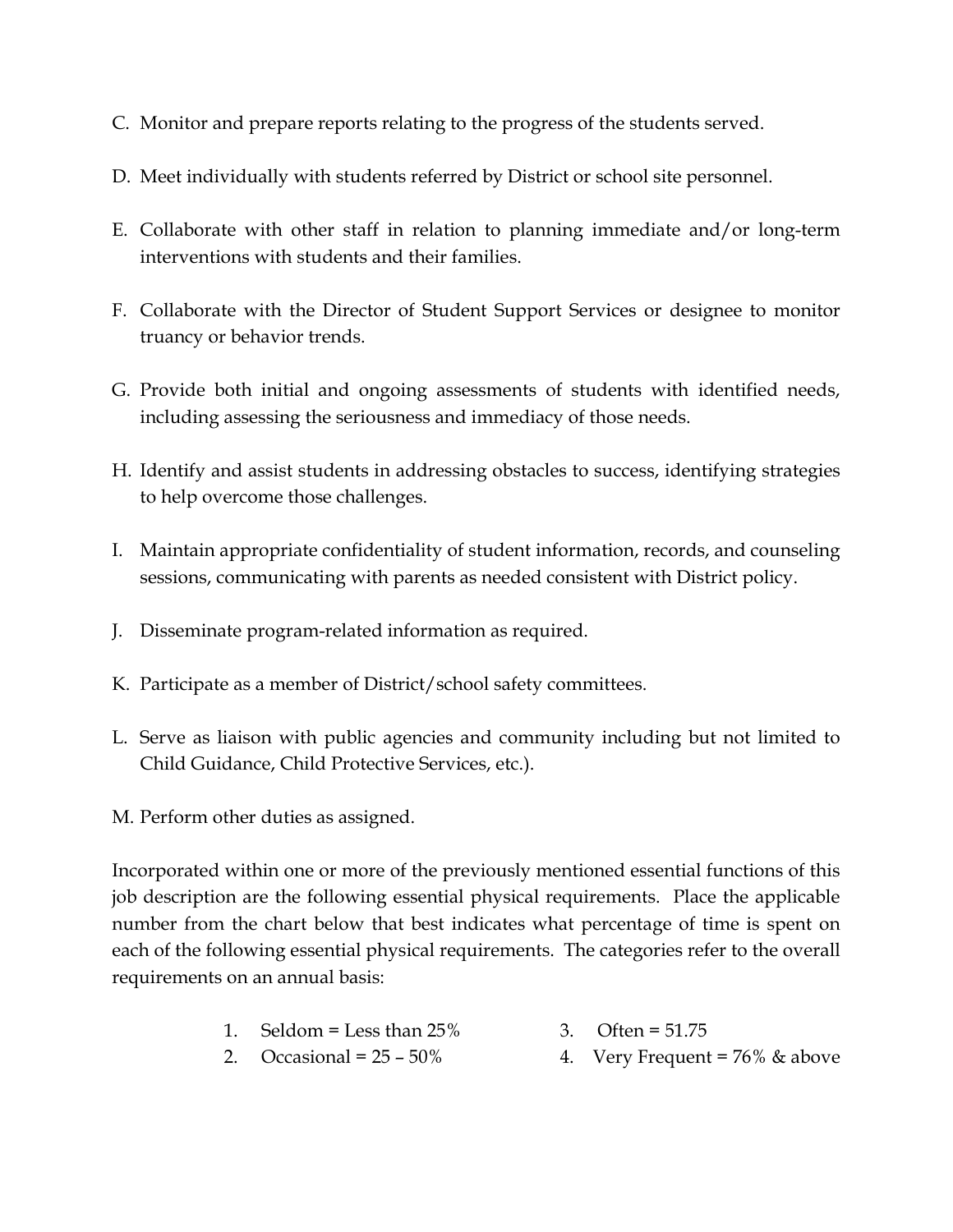- C. Monitor and prepare reports relating to the progress of the students served.
- D. Meet individually with students referred by District or school site personnel.
- E. Collaborate with other staff in relation to planning immediate and/or long-term interventions with students and their families.
- F. Collaborate with the Director of Student Support Services or designee to monitor truancy or behavior trends.
- G. Provide both initial and ongoing assessments of students with identified needs, including assessing the seriousness and immediacy of those needs.
- H. Identify and assist students in addressing obstacles to success, identifying strategies to help overcome those challenges.
- I. Maintain appropriate confidentiality of student information, records, and counseling sessions, communicating with parents as needed consistent with District policy.
- J. Disseminate program-related information as required.
- K. Participate as a member of District/school safety committees.
- L. Serve as liaison with public agencies and community including but not limited to Child Guidance, Child Protective Services, etc.).
- M. Perform other duties as assigned.

Incorporated within one or more of the previously mentioned essential functions of this job description are the following essential physical requirements. Place the applicable number from the chart below that best indicates what percentage of time is spent on each of the following essential physical requirements. The categories refer to the overall requirements on an annual basis:

- 1. Seldom = Less than  $25\%$  3. Often =  $51.75$
- 
- 2. Occasional =  $25 50\%$  4. Very Frequent =  $76\%$  & above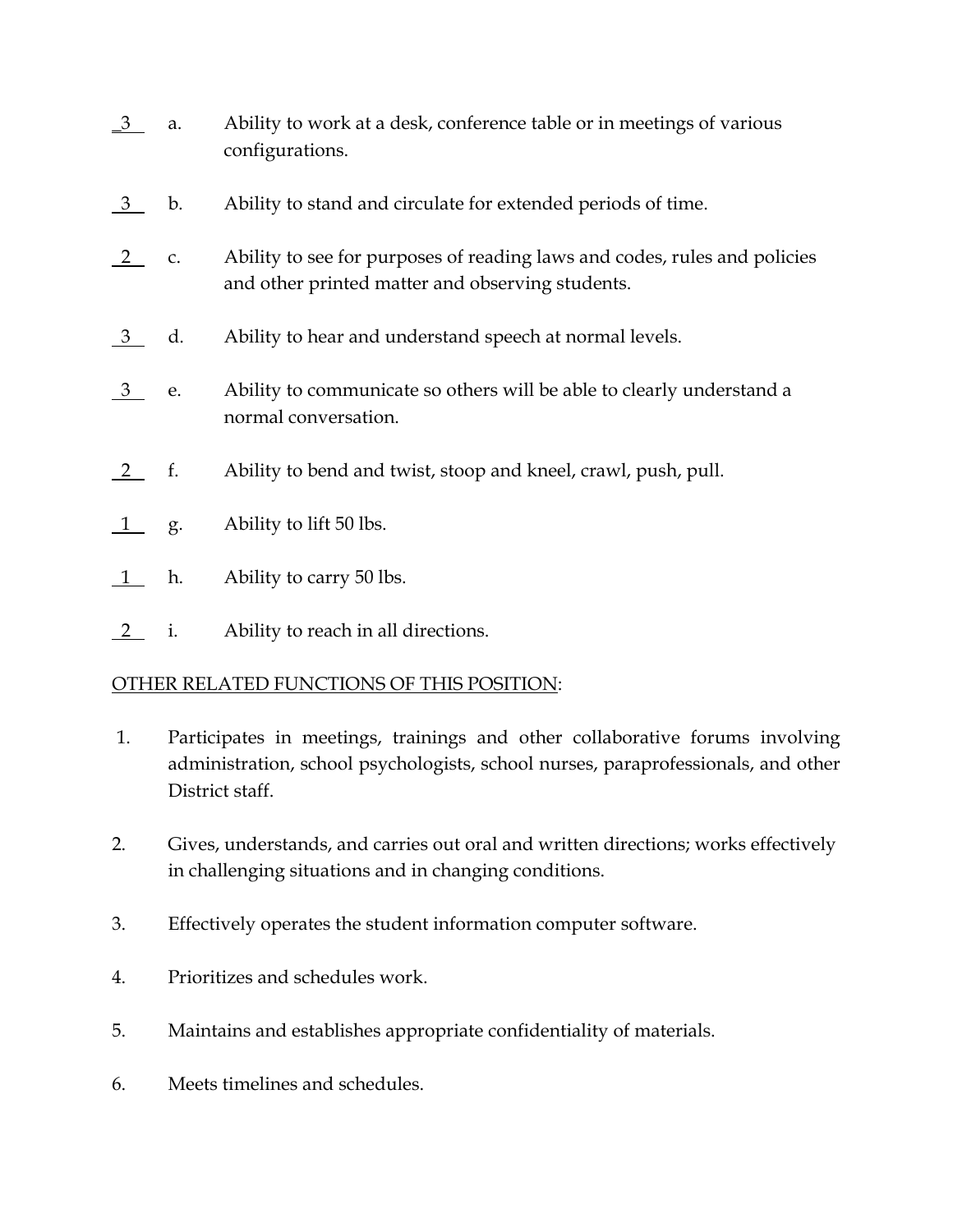- $\frac{3}{2}$  a. Ability to work at a desk, conference table or in meetings of various configurations.
- 3 b. Ability to stand and circulate for extended periods of time.
- 2 c. Ability to see for purposes of reading laws and codes, rules and policies and other printed matter and observing students.
- 3 d. Ability to hear and understand speech at normal levels.
- 3 e. Ability to communicate so others will be able to clearly understand a normal conversation.
- 2 f. Ability to bend and twist, stoop and kneel, crawl, push, pull.
- 1 g. Ability to lift 50 lbs.
- 1 h. Ability to carry 50 lbs.
- 2 i. Ability to reach in all directions.

### OTHER RELATED FUNCTIONS OF THIS POSITION:

- 1. Participates in meetings, trainings and other collaborative forums involving administration, school psychologists, school nurses, paraprofessionals, and other District staff.
- 2. Gives, understands, and carries out oral and written directions; works effectively in challenging situations and in changing conditions.
- 3. Effectively operates the student information computer software.
- 4. Prioritizes and schedules work.
- 5. Maintains and establishes appropriate confidentiality of materials.
- 6. Meets timelines and schedules.